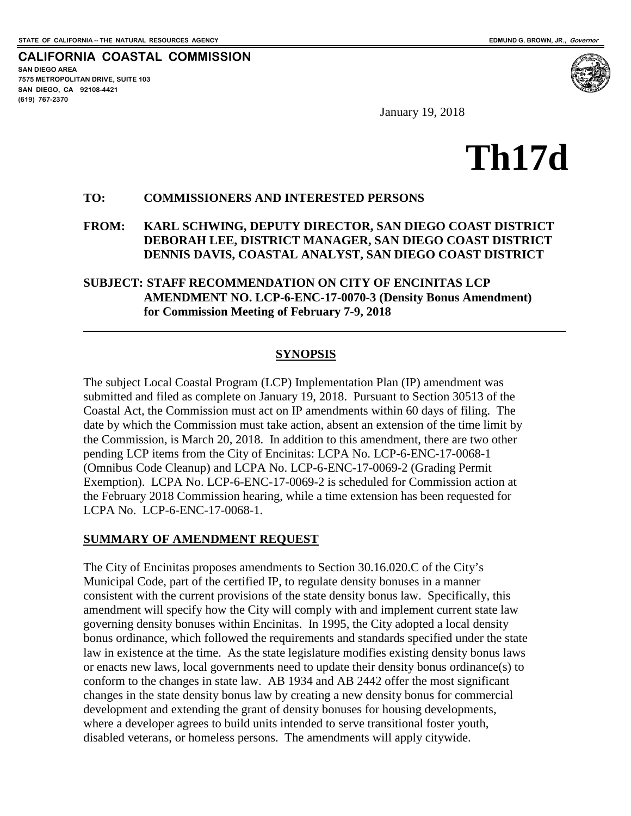**SAN DIEGO AREA**

**(619) 767-2370**

**7575 METROPOLITAN DRIVE, SUITE 103 SAN DIEGO, CA 92108-4421**

 $\overline{a}$ 

**CALIFORNIA COASTAL COMMISSION**

January 19, 2018

# **Th17d**

#### **TO: COMMISSIONERS AND INTERESTED PERSONS**

#### **FROM: KARL SCHWING, DEPUTY DIRECTOR, SAN DIEGO COAST DISTRICT DEBORAH LEE, DISTRICT MANAGER, SAN DIEGO COAST DISTRICT DENNIS DAVIS, COASTAL ANALYST, SAN DIEGO COAST DISTRICT**

#### **SUBJECT: STAFF RECOMMENDATION ON CITY OF ENCINITAS LCP AMENDMENT NO. LCP-6-ENC-17-0070-3 (Density Bonus Amendment) for Commission Meeting of February 7-9, 2018**

#### **SYNOPSIS**

The subject Local Coastal Program (LCP) Implementation Plan (IP) amendment was submitted and filed as complete on January 19, 2018. Pursuant to Section 30513 of the Coastal Act, the Commission must act on IP amendments within 60 days of filing. The date by which the Commission must take action, absent an extension of the time limit by the Commission, is March 20, 2018. In addition to this amendment, there are two other pending LCP items from the City of Encinitas: LCPA No. LCP-6-ENC-17-0068-1 (Omnibus Code Cleanup) and LCPA No. LCP-6-ENC-17-0069-2 (Grading Permit Exemption). LCPA No. LCP-6-ENC-17-0069-2 is scheduled for Commission action at the February 2018 Commission hearing, while a time extension has been requested for LCPA No. LCP-6-ENC-17-0068-1.

#### **SUMMARY OF AMENDMENT REQUEST**

The City of Encinitas proposes amendments to Section 30.16.020.C of the City's Municipal Code, part of the certified IP, to regulate density bonuses in a manner consistent with the current provisions of the state density bonus law. Specifically, this amendment will specify how the City will comply with and implement current state law governing density bonuses within Encinitas. In 1995, the City adopted a local density bonus ordinance, which followed the requirements and standards specified under the state law in existence at the time. As the state legislature modifies existing density bonus laws or enacts new laws, local governments need to update their density bonus ordinance(s) to conform to the changes in state law. AB 1934 and AB 2442 offer the most significant changes in the state density bonus law by creating a new density bonus for commercial development and extending the grant of density bonuses for housing developments, where a developer agrees to build units intended to serve transitional foster youth, disabled veterans, or homeless persons. The amendments will apply citywide.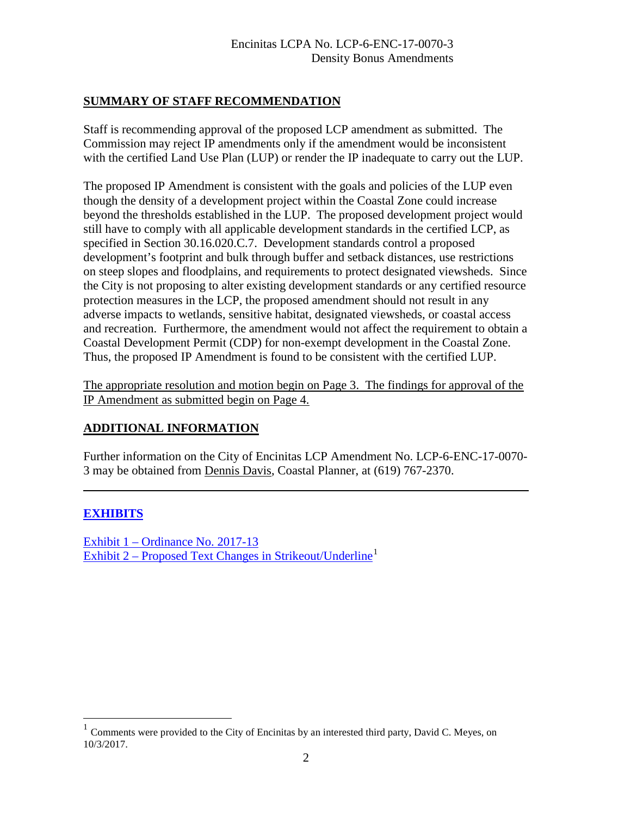## **SUMMARY OF STAFF RECOMMENDATION**

Staff is recommending approval of the proposed LCP amendment as submitted. The Commission may reject IP amendments only if the amendment would be inconsistent with the certified Land Use Plan (LUP) or render the IP inadequate to carry out the LUP.

The proposed IP Amendment is consistent with the goals and policies of the LUP even though the density of a development project within the Coastal Zone could increase beyond the thresholds established in the LUP. The proposed development project would still have to comply with all applicable development standards in the certified LCP, as specified in Section 30.16.020.C.7. Development standards control a proposed development's footprint and bulk through buffer and setback distances, use restrictions on steep slopes and floodplains, and requirements to protect designated viewsheds. Since the City is not proposing to alter existing development standards or any certified resource protection measures in the LCP, the proposed amendment should not result in any adverse impacts to wetlands, sensitive habitat, designated viewsheds, or coastal access and recreation. Furthermore, the amendment would not affect the requirement to obtain a Coastal Development Permit (CDP) for non-exempt development in the Coastal Zone. Thus, the proposed IP Amendment is found to be consistent with the certified LUP.

The appropriate resolution and motion begin on Page 3. The findings for approval of the IP Amendment as submitted begin on Page 4.

#### **ADDITIONAL INFORMATION**

Further information on the City of Encinitas LCP Amendment No. LCP-6-ENC-17-0070- 3 may be obtained from Dennis Davis, Coastal Planner, at (619) 767-2370.

## **[EXHIBITS](https://documents.coastal.ca.gov/reports/2018/2/Th17d/Th17d-2-2018-exhibits.pdf)**

 $\overline{a}$ 

 $\overline{a}$ 

[Exhibit 1 – Ordinance No. 2017-13](https://documents.coastal.ca.gov/reports/2018/2/Th17d/Th17d-2-2018-exhibits.pdf)  [Exhibit 2 – Proposed Text Changes in Strikeout/Underline](https://documents.coastal.ca.gov/reports/2018/2/Th17d/Th17d-2-2018-exhibits.pdf)<sup>[1](#page-1-0)</sup>

<span id="page-1-0"></span><sup>1</sup> Comments were provided to the City of Encinitas by an interested third party, David C. Meyes, on 10/3/2017.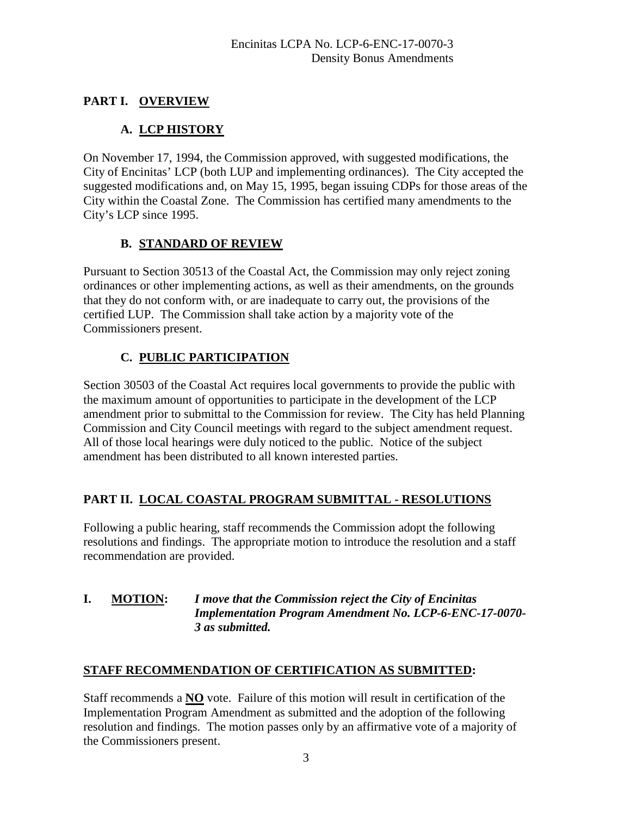## **PART I. OVERVIEW**

# **A. LCP HISTORY**

On November 17, 1994, the Commission approved, with suggested modifications, the City of Encinitas' LCP (both LUP and implementing ordinances). The City accepted the suggested modifications and, on May 15, 1995, began issuing CDPs for those areas of the City within the Coastal Zone. The Commission has certified many amendments to the City's LCP since 1995.

### **B. STANDARD OF REVIEW**

Pursuant to Section 30513 of the Coastal Act, the Commission may only reject zoning ordinances or other implementing actions, as well as their amendments, on the grounds that they do not conform with, or are inadequate to carry out, the provisions of the certified LUP. The Commission shall take action by a majority vote of the Commissioners present.

## **C. PUBLIC PARTICIPATION**

Section 30503 of the Coastal Act requires local governments to provide the public with the maximum amount of opportunities to participate in the development of the LCP amendment prior to submittal to the Commission for review. The City has held Planning Commission and City Council meetings with regard to the subject amendment request. All of those local hearings were duly noticed to the public. Notice of the subject amendment has been distributed to all known interested parties.

## **PART II. LOCAL COASTAL PROGRAM SUBMITTAL - RESOLUTIONS**

Following a public hearing, staff recommends the Commission adopt the following resolutions and findings. The appropriate motion to introduce the resolution and a staff recommendation are provided.

#### **I. MOTION:** *I move that the Commission reject the City of Encinitas Implementation Program Amendment No. LCP-6-ENC-17-0070- 3 as submitted.*

## **STAFF RECOMMENDATION OF CERTIFICATION AS SUBMITTED:**

Staff recommends a **NO** vote. Failure of this motion will result in certification of the Implementation Program Amendment as submitted and the adoption of the following resolution and findings. The motion passes only by an affirmative vote of a majority of the Commissioners present.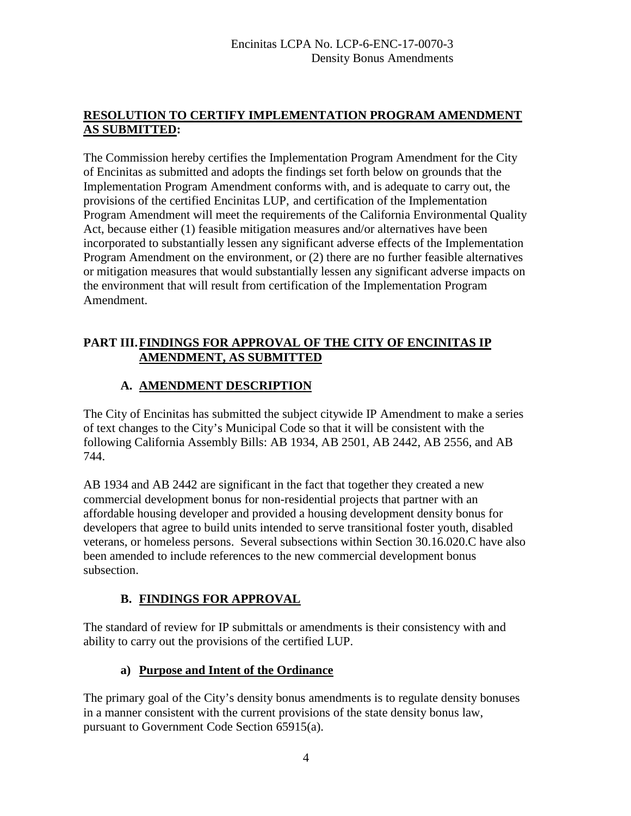## **RESOLUTION TO CERTIFY IMPLEMENTATION PROGRAM AMENDMENT AS SUBMITTED:**

The Commission hereby certifies the Implementation Program Amendment for the City of Encinitas as submitted and adopts the findings set forth below on grounds that the Implementation Program Amendment conforms with, and is adequate to carry out, the provisions of the certified Encinitas LUP, and certification of the Implementation Program Amendment will meet the requirements of the California Environmental Quality Act, because either (1) feasible mitigation measures and/or alternatives have been incorporated to substantially lessen any significant adverse effects of the Implementation Program Amendment on the environment, or (2) there are no further feasible alternatives or mitigation measures that would substantially lessen any significant adverse impacts on the environment that will result from certification of the Implementation Program Amendment.

## **PART III.FINDINGS FOR APPROVAL OF THE CITY OF ENCINITAS IP AMENDMENT, AS SUBMITTED**

# **A. AMENDMENT DESCRIPTION**

The City of Encinitas has submitted the subject citywide IP Amendment to make a series of text changes to the City's Municipal Code so that it will be consistent with the following California Assembly Bills: AB 1934, AB 2501, AB 2442, AB 2556, and AB 744.

AB 1934 and AB 2442 are significant in the fact that together they created a new commercial development bonus for non-residential projects that partner with an affordable housing developer and provided a housing development density bonus for developers that agree to build units intended to serve transitional foster youth, disabled veterans, or homeless persons. Several subsections within Section 30.16.020.C have also been amended to include references to the new commercial development bonus subsection.

# **B. FINDINGS FOR APPROVAL**

The standard of review for IP submittals or amendments is their consistency with and ability to carry out the provisions of the certified LUP.

## **a) Purpose and Intent of the Ordinance**

The primary goal of the City's density bonus amendments is to regulate density bonuses in a manner consistent with the current provisions of the state density bonus law, pursuant to Government Code Section 65915(a).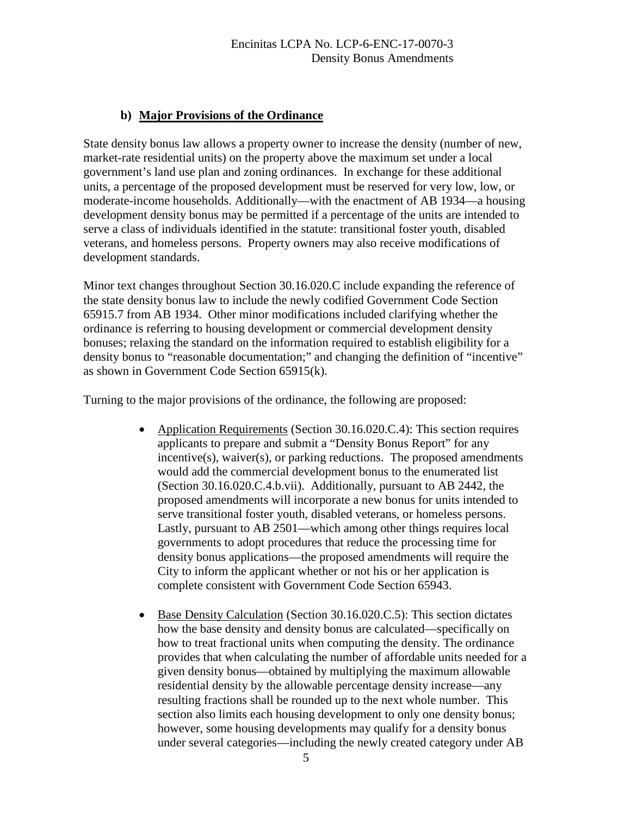## **b) Major Provisions of the Ordinance**

State density bonus law allows a property owner to increase the density (number of new, market-rate residential units) on the property above the maximum set under a local government's land use plan and zoning ordinances. In exchange for these additional units, a percentage of the proposed development must be reserved for very low, low, or moderate-income households. Additionally—with the enactment of AB 1934—a housing development density bonus may be permitted if a percentage of the units are intended to serve a class of individuals identified in the statute: transitional foster youth, disabled veterans, and homeless persons. Property owners may also receive modifications of development standards.

Minor text changes throughout Section 30.16.020.C include expanding the reference of the state density bonus law to include the newly codified Government Code Section 65915.7 from AB 1934. Other minor modifications included clarifying whether the ordinance is referring to housing development or commercial development density bonuses; relaxing the standard on the information required to establish eligibility for a density bonus to "reasonable documentation;" and changing the definition of "incentive" as shown in Government Code Section 65915(k).

Turning to the major provisions of the ordinance, the following are proposed:

- Application Requirements (Section 30.16.020.C.4): This section requires applicants to prepare and submit a "Density Bonus Report" for any incentive(s), waiver(s), or parking reductions. The proposed amendments would add the commercial development bonus to the enumerated list (Section 30.16.020.C.4.b.vii). Additionally, pursuant to AB 2442, the proposed amendments will incorporate a new bonus for units intended to serve transitional foster youth, disabled veterans, or homeless persons. Lastly, pursuant to AB 2501—which among other things requires local governments to adopt procedures that reduce the processing time for density bonus applications—the proposed amendments will require the City to inform the applicant whether or not his or her application is complete consistent with Government Code Section 65943.
- Base Density Calculation (Section 30.16.020.C.5): This section dictates how the base density and density bonus are calculated—specifically on how to treat fractional units when computing the density. The ordinance provides that when calculating the number of affordable units needed for a given density bonus—obtained by multiplying the maximum allowable residential density by the allowable percentage density increase—any resulting fractions shall be rounded up to the next whole number. This section also limits each housing development to only one density bonus; however, some housing developments may qualify for a density bonus under several categories—including the newly created category under AB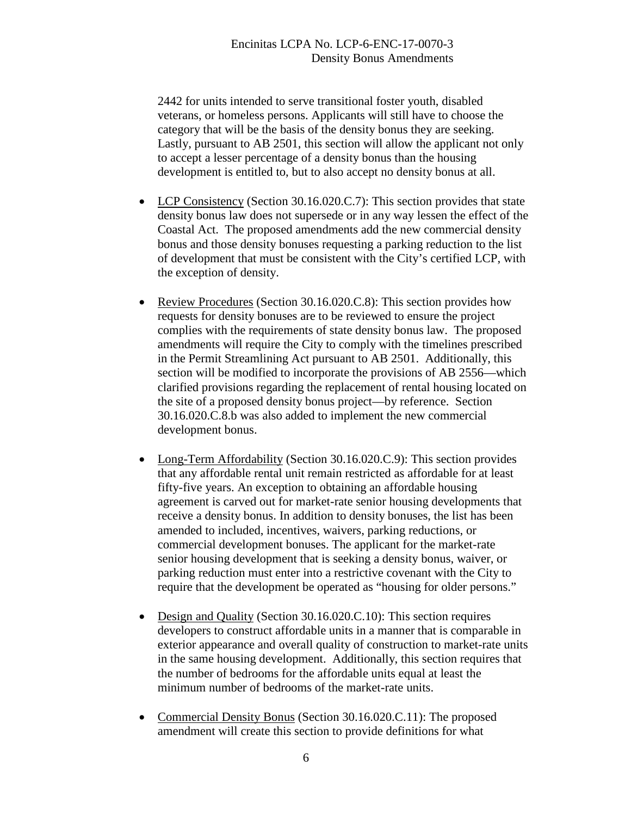2442 for units intended to serve transitional foster youth, disabled veterans, or homeless persons. Applicants will still have to choose the category that will be the basis of the density bonus they are seeking. Lastly, pursuant to AB 2501, this section will allow the applicant not only to accept a lesser percentage of a density bonus than the housing development is entitled to, but to also accept no density bonus at all.

- LCP Consistency (Section 30.16.020.C.7): This section provides that state density bonus law does not supersede or in any way lessen the effect of the Coastal Act. The proposed amendments add the new commercial density bonus and those density bonuses requesting a parking reduction to the list of development that must be consistent with the City's certified LCP, with the exception of density.
- Review Procedures (Section 30.16.020.C.8): This section provides how requests for density bonuses are to be reviewed to ensure the project complies with the requirements of state density bonus law. The proposed amendments will require the City to comply with the timelines prescribed in the Permit Streamlining Act pursuant to AB 2501. Additionally, this section will be modified to incorporate the provisions of AB 2556—which clarified provisions regarding the replacement of rental housing located on the site of a proposed density bonus project—by reference. Section 30.16.020.C.8.b was also added to implement the new commercial development bonus.
- Long-Term Affordability (Section 30.16.020.C.9): This section provides that any affordable rental unit remain restricted as affordable for at least fifty-five years. An exception to obtaining an affordable housing agreement is carved out for market-rate senior housing developments that receive a density bonus. In addition to density bonuses, the list has been amended to included, incentives, waivers, parking reductions, or commercial development bonuses. The applicant for the market-rate senior housing development that is seeking a density bonus, waiver, or parking reduction must enter into a restrictive covenant with the City to require that the development be operated as "housing for older persons."
- Design and Quality (Section 30.16.020.C.10): This section requires developers to construct affordable units in a manner that is comparable in exterior appearance and overall quality of construction to market-rate units in the same housing development. Additionally, this section requires that the number of bedrooms for the affordable units equal at least the minimum number of bedrooms of the market-rate units.
- Commercial Density Bonus (Section 30.16.020.C.11): The proposed amendment will create this section to provide definitions for what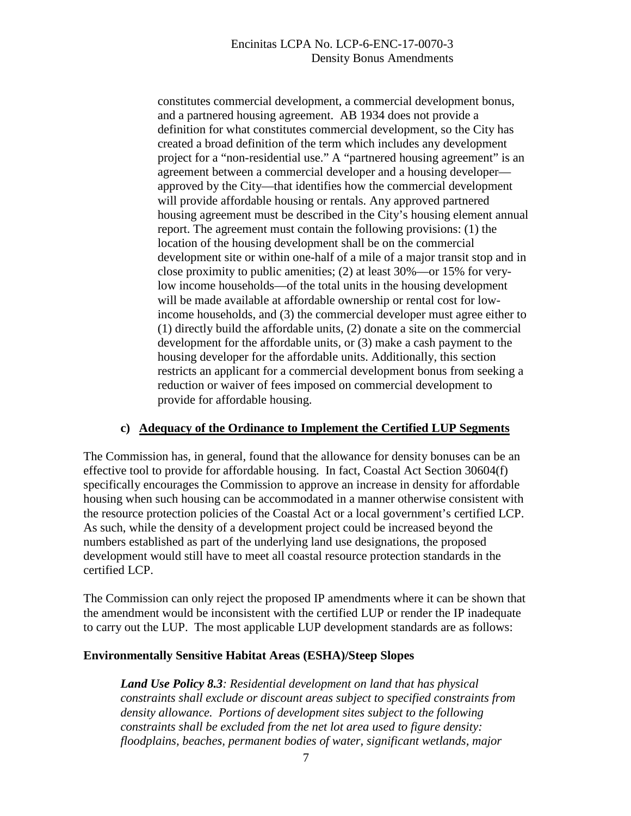#### Encinitas LCPA No. LCP-6-ENC-17-0070-3 Density Bonus Amendments

constitutes commercial development, a commercial development bonus, and a partnered housing agreement. AB 1934 does not provide a definition for what constitutes commercial development, so the City has created a broad definition of the term which includes any development project for a "non-residential use." A "partnered housing agreement" is an agreement between a commercial developer and a housing developer approved by the City—that identifies how the commercial development will provide affordable housing or rentals. Any approved partnered housing agreement must be described in the City's housing element annual report. The agreement must contain the following provisions: (1) the location of the housing development shall be on the commercial development site or within one-half of a mile of a major transit stop and in close proximity to public amenities; (2) at least 30%—or 15% for verylow income households—of the total units in the housing development will be made available at affordable ownership or rental cost for lowincome households, and (3) the commercial developer must agree either to (1) directly build the affordable units, (2) donate a site on the commercial development for the affordable units, or (3) make a cash payment to the housing developer for the affordable units. Additionally, this section restricts an applicant for a commercial development bonus from seeking a reduction or waiver of fees imposed on commercial development to provide for affordable housing.

#### **c) Adequacy of the Ordinance to Implement the Certified LUP Segments**

The Commission has, in general, found that the allowance for density bonuses can be an effective tool to provide for affordable housing. In fact, Coastal Act Section 30604(f) specifically encourages the Commission to approve an increase in density for affordable housing when such housing can be accommodated in a manner otherwise consistent with the resource protection policies of the Coastal Act or a local government's certified LCP. As such, while the density of a development project could be increased beyond the numbers established as part of the underlying land use designations, the proposed development would still have to meet all coastal resource protection standards in the certified LCP.

The Commission can only reject the proposed IP amendments where it can be shown that the amendment would be inconsistent with the certified LUP or render the IP inadequate to carry out the LUP. The most applicable LUP development standards are as follows:

#### **Environmentally Sensitive Habitat Areas (ESHA)/Steep Slopes**

*Land Use Policy 8.3: Residential development on land that has physical constraints shall exclude or discount areas subject to specified constraints from density allowance. Portions of development sites subject to the following constraints shall be excluded from the net lot area used to figure density: floodplains, beaches, permanent bodies of water, significant wetlands, major*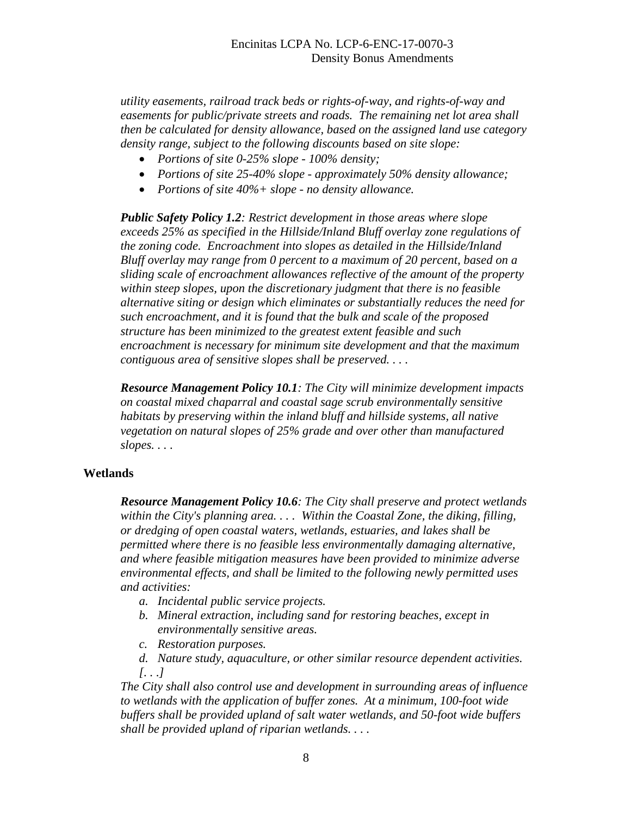*utility easements, railroad track beds or rights-of-way, and rights-of-way and easements for public/private streets and roads. The remaining net lot area shall then be calculated for density allowance, based on the assigned land use category density range, subject to the following discounts based on site slope:* 

- *Portions of site 0-25% slope 100% density;*
- *Portions of site 25-40% slope approximately 50% density allowance;*
- *Portions of site 40%+ slope no density allowance.*

*Public Safety Policy 1.2: Restrict development in those areas where slope exceeds 25% as specified in the Hillside/Inland Bluff overlay zone regulations of the zoning code. Encroachment into slopes as detailed in the Hillside/Inland Bluff overlay may range from 0 percent to a maximum of 20 percent, based on a sliding scale of encroachment allowances reflective of the amount of the property within steep slopes, upon the discretionary judgment that there is no feasible alternative siting or design which eliminates or substantially reduces the need for such encroachment, and it is found that the bulk and scale of the proposed structure has been minimized to the greatest extent feasible and such encroachment is necessary for minimum site development and that the maximum contiguous area of sensitive slopes shall be preserved. . . .* 

*Resource Management Policy 10.1: The City will minimize development impacts on coastal mixed chaparral and coastal sage scrub environmentally sensitive habitats by preserving within the inland bluff and hillside systems, all native vegetation on natural slopes of 25% grade and over other than manufactured slopes. . . .*

#### **Wetlands**

*Resource Management Policy 10.6: The City shall preserve and protect wetlands within the City's planning area. . . . Within the Coastal Zone, the diking, filling, or dredging of open coastal waters, wetlands, estuaries, and lakes shall be permitted where there is no feasible less environmentally damaging alternative, and where feasible mitigation measures have been provided to minimize adverse environmental effects, and shall be limited to the following newly permitted uses and activities:*

- *a. Incidental public service projects.*
- *b. Mineral extraction, including sand for restoring beaches, except in environmentally sensitive areas.*
- *c. Restoration purposes.*
- *d. Nature study, aquaculture, or other similar resource dependent activities. [. . .]*

*The City shall also control use and development in surrounding areas of influence to wetlands with the application of buffer zones. At a minimum, 100-foot wide buffers shall be provided upland of salt water wetlands, and 50-foot wide buffers shall be provided upland of riparian wetlands. . . .*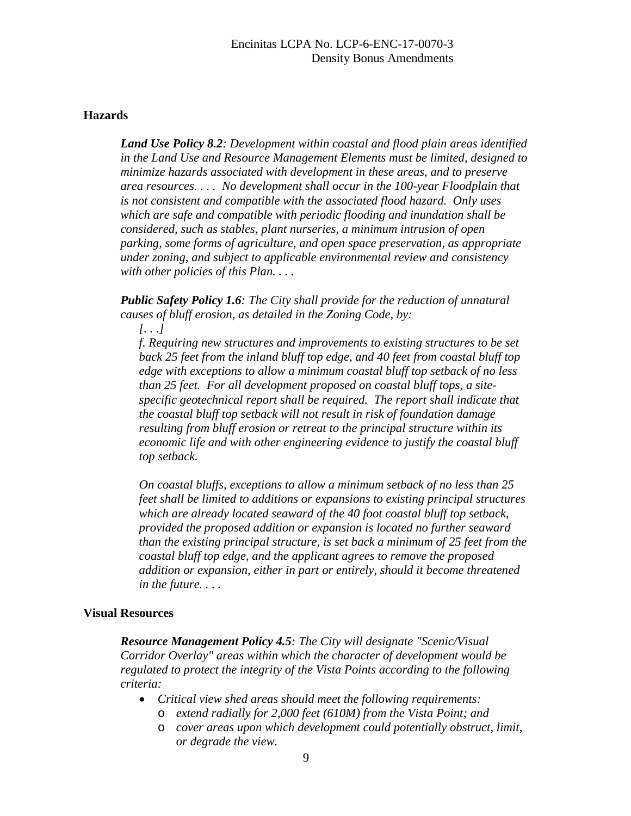#### **Hazards**

*Land Use Policy 8.2: Development within coastal and flood plain areas identified in the Land Use and Resource Management Elements must be limited, designed to minimize hazards associated with development in these areas, and to preserve area resources. . . . No development shall occur in the 100-year Floodplain that is not consistent and compatible with the associated flood hazard. Only uses which are safe and compatible with periodic flooding and inundation shall be considered, such as stables, plant nurseries, a minimum intrusion of open parking, some forms of agriculture, and open space preservation, as appropriate under zoning, and subject to applicable environmental review and consistency with other policies of this Plan. . . .* 

*Public Safety Policy 1.6: The City shall provide for the reduction of unnatural causes of bluff erosion, as detailed in the Zoning Code, by:* 

*[. . .]* 

*f. Requiring new structures and improvements to existing structures to be set back 25 feet from the inland bluff top edge, and 40 feet from coastal bluff top edge with exceptions to allow a minimum coastal bluff top setback of no less than 25 feet. For all development proposed on coastal bluff tops, a sitespecific geotechnical report shall be required. The report shall indicate that the coastal bluff top setback will not result in risk of foundation damage resulting from bluff erosion or retreat to the principal structure within its economic life and with other engineering evidence to justify the coastal bluff top setback.* 

*On coastal bluffs, exceptions to allow a minimum setback of no less than 25 feet shall be limited to additions or expansions to existing principal structures which are already located seaward of the 40 foot coastal bluff top setback, provided the proposed addition or expansion is located no further seaward than the existing principal structure, is set back a minimum of 25 feet from the coastal bluff top edge, and the applicant agrees to remove the proposed addition or expansion, either in part or entirely, should it become threatened in the future. . . .* 

#### **Visual Resources**

*Resource Management Policy 4.5: The City will designate "Scenic/Visual Corridor Overlay" areas within which the character of development would be regulated to protect the integrity of the Vista Points according to the following criteria:*

- *Critical view shed areas should meet the following requirements:* 
	- o *extend radially for 2,000 feet (610M) from the Vista Point; and*
	- o *cover areas upon which development could potentially obstruct, limit, or degrade the view.*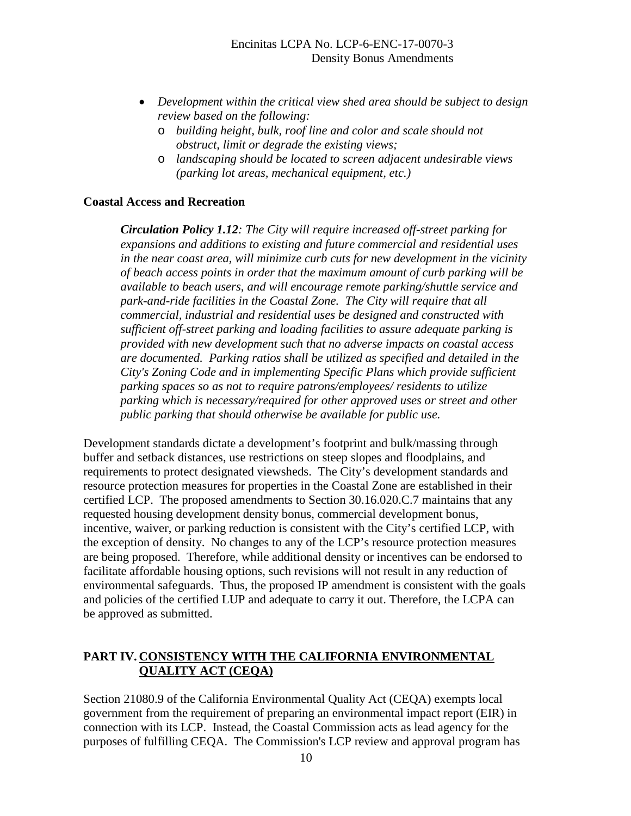- *Development within the critical view shed area should be subject to design review based on the following:* 
	- o *building height, bulk, roof line and color and scale should not obstruct, limit or degrade the existing views;*
	- o *landscaping should be located to screen adjacent undesirable views (parking lot areas, mechanical equipment, etc.)*

#### **Coastal Access and Recreation**

*Circulation Policy 1.12: The City will require increased off-street parking for expansions and additions to existing and future commercial and residential uses in the near coast area, will minimize curb cuts for new development in the vicinity of beach access points in order that the maximum amount of curb parking will be available to beach users, and will encourage remote parking/shuttle service and park-and-ride facilities in the Coastal Zone. The City will require that all commercial, industrial and residential uses be designed and constructed with sufficient off-street parking and loading facilities to assure adequate parking is provided with new development such that no adverse impacts on coastal access are documented. Parking ratios shall be utilized as specified and detailed in the City's Zoning Code and in implementing Specific Plans which provide sufficient parking spaces so as not to require patrons/employees/ residents to utilize parking which is necessary/required for other approved uses or street and other public parking that should otherwise be available for public use.* 

Development standards dictate a development's footprint and bulk/massing through buffer and setback distances, use restrictions on steep slopes and floodplains, and requirements to protect designated viewsheds. The City's development standards and resource protection measures for properties in the Coastal Zone are established in their certified LCP. The proposed amendments to Section 30.16.020.C.7 maintains that any requested housing development density bonus, commercial development bonus, incentive, waiver, or parking reduction is consistent with the City's certified LCP, with the exception of density. No changes to any of the LCP's resource protection measures are being proposed. Therefore, while additional density or incentives can be endorsed to facilitate affordable housing options, such revisions will not result in any reduction of environmental safeguards. Thus, the proposed IP amendment is consistent with the goals and policies of the certified LUP and adequate to carry it out. Therefore, the LCPA can be approved as submitted.

### **PART IV. CONSISTENCY WITH THE CALIFORNIA ENVIRONMENTAL QUALITY ACT (CEQA)**

Section 21080.9 of the California Environmental Quality Act (CEQA) exempts local government from the requirement of preparing an environmental impact report (EIR) in connection with its LCP. Instead, the Coastal Commission acts as lead agency for the purposes of fulfilling CEQA. The Commission's LCP review and approval program has